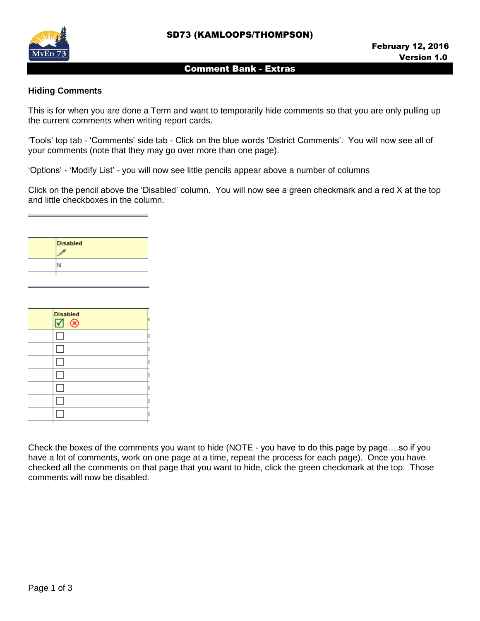

### Comment Bank - Extras

## **Hiding Comments**

This is for when you are done a Term and want to temporarily hide comments so that you are only pulling up the current comments when writing report cards.

'Tools' top tab - 'Comments' side tab - Click on the blue words 'District Comments'. You will now see all of your comments (note that they may go over more than one page).

'Options' - 'Modify List' - you will now see little pencils appear above a number of columns

Click on the pencil above the 'Disabled' column. You will now see a green checkmark and a red X at the top and little checkboxes in the column.

| <b>Disabled</b> |
|-----------------|
| <b>SP</b>       |
| N               |
|                 |

| <b>Disabled</b><br>⊠ ⊗ |  |
|------------------------|--|
|                        |  |
|                        |  |
| L                      |  |
|                        |  |
|                        |  |
|                        |  |
|                        |  |

Check the boxes of the comments you want to hide (NOTE - you have to do this page by page….so if you have a lot of comments, work on one page at a time, repeat the process for each page). Once you have checked all the comments on that page that you want to hide, click the green checkmark at the top. Those comments will now be disabled.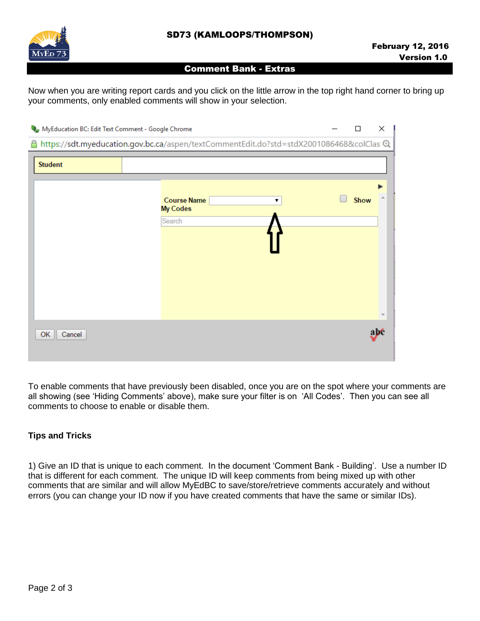

#### Comment Bank - Extras

Now when you are writing report cards and you click on the little arrow in the top right hand corner to bring up your comments, only enabled comments will show in your selection.

| MyEducation BC: Edit Text Comment - Google Chrome |                                                                                        | П    | ×                        |
|---------------------------------------------------|----------------------------------------------------------------------------------------|------|--------------------------|
| ≏                                                 | https://sdt.myeducation.gov.bc.ca/aspen/textCommentEdit.do?std=stdX2001086468&colClas@ |      |                          |
| <b>Student</b>                                    |                                                                                        |      |                          |
|                                                   | <b>Course Name</b><br>▼<br><b>My Codes</b>                                             | Show |                          |
|                                                   | Search                                                                                 |      |                          |
|                                                   |                                                                                        |      |                          |
|                                                   |                                                                                        |      | $\overline{\phantom{a}}$ |
| OK<br>Cancel                                      |                                                                                        |      | abé                      |

To enable comments that have previously been disabled, once you are on the spot where your comments are all showing (see 'Hiding Comments' above), make sure your filter is on 'All Codes'. Then you can see all comments to choose to enable or disable them.

# **Tips and Tricks**

1) Give an ID that is unique to each comment. In the document 'Comment Bank - Building'. Use a number ID that is different for each comment. The unique ID will keep comments from being mixed up with other comments that are similar and will allow MyEdBC to save/store/retrieve comments accurately and without errors (you can change your ID now if you have created comments that have the same or similar IDs).